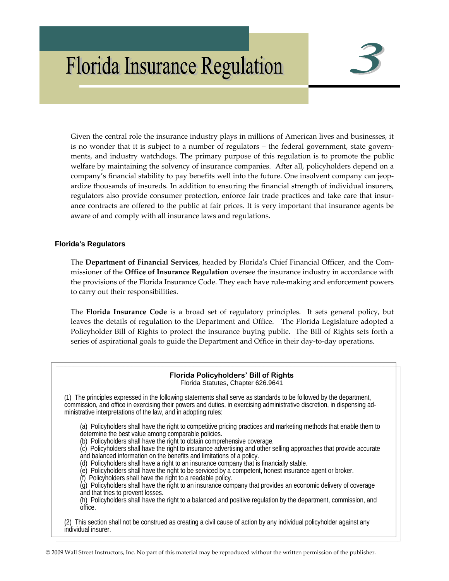# **Florida Insurance Regulation**



Given the central role the insurance industry plays in millions of American lives and businesses, it is no wonder that it is subject to a number of regulators – the federal government, state governments, and industry watchdogs. The primary purpose of this regulation is to promote the public welfare by maintaining the solvency of insurance companies. After all, policyholders depend on a company's financial stability to pay benefits well into the future. One insolvent company can jeop‐ ardize thousands of insureds. In addition to ensuring the financial strength of individual insurers, regulators also provide consumer protection, enforce fair trade practices and take care that insurance contracts are offered to the public at fair prices. It is very important that insurance agents be aware of and comply with all insurance laws and regulations.

# **Florida's Regulators**

The **Department of Financial Services**, headed by Floridaʹs Chief Financial Officer, and the Com‐ missioner of the **Office of Insurance Regulation** oversee the insurance industry in accordance with the provisions of the Florida Insurance Code. They each have rule‐making and enforcement powers to carry out their responsibilities.

The **Florida Insurance Code** is a broad set of regulatory principles. It sets general policy, but leaves the details of regulation to the Department and Office. The Florida Legislature adopted a Policyholder Bill of Rights to protect the insurance buying public. The Bill of Rights sets forth a series of aspirational goals to guide the Department and Office in their day-to-day operations.

#### **Florida Policyholders' Bill of Rights**  Florida Statutes, Chapter 626.9641

(1) The principles expressed in the following statements shall serve as standards to be followed by the department, commission, and office in exercising their powers and duties, in exercising administrative discretion, in dispensing administrative interpretations of the law, and in adopting rules:

(a) Policyholders shall have the right to competitive pricing practices and marketing methods that enable them to determine the best value among comparable policies.

(b) Policyholders shall have the right to obtain comprehensive coverage.

(c) Policyholders shall have the right to insurance advertising and other selling approaches that provide accurate and balanced information on the benefits and limitations of a policy.

(d) Policyholders shall have a right to an insurance company that is financially stable.

(e) Policyholders shall have the right to be serviced by a competent, honest insurance agent or broker.

(f) Policyholders shall have the right to a readable policy.

(g) Policyholders shall have the right to an insurance company that provides an economic delivery of coverage and that tries to prevent losses.

(h) Policyholders shall have the right to a balanced and positive regulation by the department, commission, and office.

(2) This section shall not be construed as creating a civil cause of action by any individual policyholder against any individual insurer.

© 2009 Wall Street Instructors, Inc. No part of this material may be reproduced without the written permission of the publisher.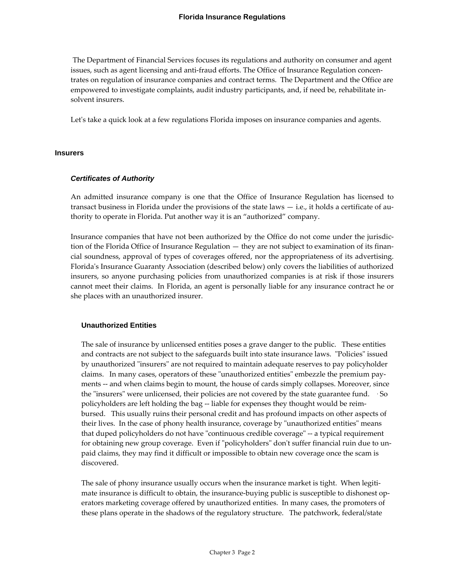The Department of Financial Services focuses its regulations and authority on consumer and agent issues, such as agent licensing and anti-fraud efforts. The Office of Insurance Regulation concentrates on regulation of insurance companies and contract terms. The Department and the Office are empowered to investigate complaints, audit industry participants, and, if need be, rehabilitate insolvent insurers.

Let's take a quick look at a few regulations Florida imposes on insurance companies and agents.

### **Insurers**

### *Certificates of Authority*

An admitted insurance company is one that the Office of Insurance Regulation has licensed to transact business in Florida under the provisions of the state laws  $-$  i.e., it holds a certificate of authority to operate in Florida. Put another way it is an "authorized" company.

Insurance companies that have not been authorized by the Office do not come under the jurisdic‐ tion of the Florida Office of Insurance Regulation — they are not subject to examination of its finan‐ cial soundness, approval of types of coverages offered, nor the appropriateness of its advertising. Floridaʹs Insurance Guaranty Association (described below) only covers the liabilities of authorized insurers, so anyone purchasing policies from unauthorized companies is at risk if those insurers cannot meet their claims. In Florida, an agent is personally liable for any insurance contract he or she places with an unauthorized insurer.

# **Unauthorized Entities**

The sale of insurance by unlicensed entities poses a grave danger to the public. These entities and contracts are not subject to the safeguards built into state insurance laws. "Policies" issued by unauthorized "insurers" are not required to maintain adequate reserves to pay policyholder claims. In many cases, operators of these "unauthorized entities" embezzle the premium payments -- and when claims begin to mount, the house of cards simply collapses. Moreover, since the "insurers" were unlicensed, their policies are not covered by the state guarantee fund. So policyholders are left holding the bag ‐‐ liable for expenses they thought would be reim‐ bursed. This usually ruins their personal credit and has profound impacts on other aspects of their lives. In the case of phony health insurance, coverage by "unauthorized entities" means that duped policyholders do not have "continuous credible coverage" -- a typical requirement for obtaining new group coverage. Even if "policyholders" don't suffer financial ruin due to unpaid claims, they may find it difficult or impossible to obtain new coverage once the scam is discovered.

The sale of phony insurance usually occurs when the insurance market is tight. When legitimate insurance is difficult to obtain, the insurance-buying public is susceptible to dishonest operators marketing coverage offered by unauthorized entities. In many cases, the promoters of these plans operate in the shadows of the regulatory structure. The patchwork, federal/state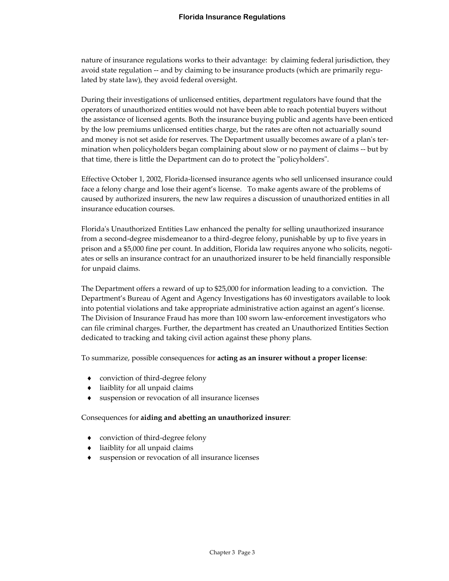nature of insurance regulations works to their advantage: by claiming federal jurisdiction, they avoid state regulation -- and by claiming to be insurance products (which are primarily regulated by state law), they avoid federal oversight.

During their investigations of unlicensed entities, department regulators have found that the operators of unauthorized entities would not have been able to reach potential buyers without the assistance of licensed agents. Both the insurance buying public and agents have been enticed by the low premiums unlicensed entities charge, but the rates are often not actuarially sound and money is not set aside for reserves. The Department usually becomes aware of a plan's termination when policyholders began complaining about slow or no payment of claims ‐‐ but by that time, there is little the Department can do to protect the "policyholders".

Effective October 1, 2002, Florida‐licensed insurance agents who sell unlicensed insurance could face a felony charge and lose their agent's license. To make agents aware of the problems of caused by authorized insurers, the new law requires a discussion of unauthorized entities in all insurance education courses.

Floridaʹs Unauthorized Entities Law enhanced the penalty for selling unauthorized insurance from a second-degree misdemeanor to a third-degree felony, punishable by up to five years in prison and a \$5,000 fine per count. In addition, Florida law requires anyone who solicits, negotiates or sells an insurance contract for an unauthorized insurer to be held financially responsible for unpaid claims.

The Department offers a reward of up to \$25,000 for information leading to a conviction. The Department's Bureau of Agent and Agency Investigations has 60 investigators available to look into potential violations and take appropriate administrative action against an agent's license. The Division of Insurance Fraud has more than 100 sworn law-enforcement investigators who can file criminal charges. Further, the department has created an Unauthorized Entities Section dedicated to tracking and taking civil action against these phony plans.

To summarize, possible consequences for **acting as an insurer without a proper license**:

- ◆ conviction of third-degree felony
- liaiblity for all unpaid claims
- suspension or revocation of all insurance licenses

#### Consequences for **aiding and abetting an unauthorized insurer**:

- ♦ conviction of third‐degree felony
- ♦ liaiblity for all unpaid claims
- suspension or revocation of all insurance licenses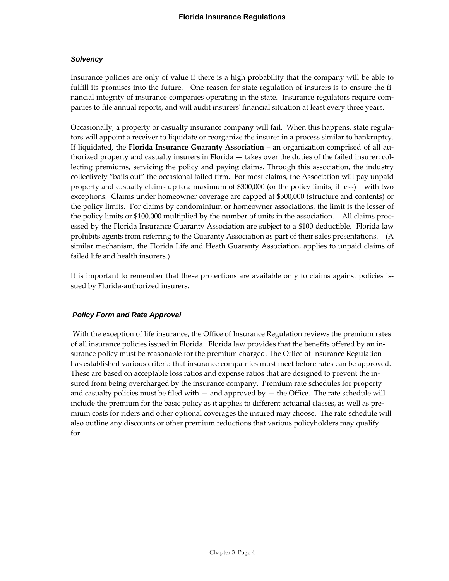### *Solvency*

Insurance policies are only of value if there is a high probability that the company will be able to fulfill its promises into the future. One reason for state regulation of insurers is to ensure the financial integrity of insurance companies operating in the state. Insurance regulators require companies to file annual reports, and will audit insurersʹ financial situation at least every three years.

Occasionally, a property or casualty insurance company will fail. When this happens, state regula‐ tors will appoint a receiver to liquidate or reorganize the insurer in a process similar to bankruptcy. If liquidated, the **Florida Insurance Guaranty Association** – an organization comprised of all au‐ thorized property and casualty insurers in Florida — takes over the duties of the failed insurer: col‐ lecting premiums, servicing the policy and paying claims. Through this association, the industry collectively "bails out" the occasional failed firm. For most claims, the Association will pay unpaid property and casualty claims up to a maximum of \$300,000 (or the policy limits, if less) – with two exceptions. Claims under homeowner coverage are capped at \$500,000 (structure and contents) or the policy limits. For claims by condominium or homeowner associations, the limit is the lesser of the policy limits or \$100,000 multiplied by the number of units in the association. All claims processed by the Florida Insurance Guaranty Association are subject to a \$100 deductible. Florida law prohibits agents from referring to the Guaranty Association as part of their sales presentations. (A similar mechanism, the Florida Life and Heath Guaranty Association, applies to unpaid claims of failed life and health insurers.)

It is important to remember that these protections are available only to claims against policies is‐ sued by Florida‐authorized insurers.

# *Policy Form and Rate Approval*

With the exception of life insurance, the Office of Insurance Regulation reviews the premium rates of all insurance policies issued in Florida. Florida law provides that the benefits offered by an in‐ surance policy must be reasonable for the premium charged. The Office of Insurance Regulation has established various criteria that insurance compa‐nies must meet before rates can be approved. These are based on acceptable loss ratios and expense ratios that are designed to prevent the in‐ sured from being overcharged by the insurance company. Premium rate schedules for property and casualty policies must be filed with  $-$  and approved by  $-$  the Office. The rate schedule will include the premium for the basic policy as it applies to different actuarial classes, as well as premium costs for riders and other optional coverages the insured may choose. The rate schedule will also outline any discounts or other premium reductions that various policyholders may qualify for.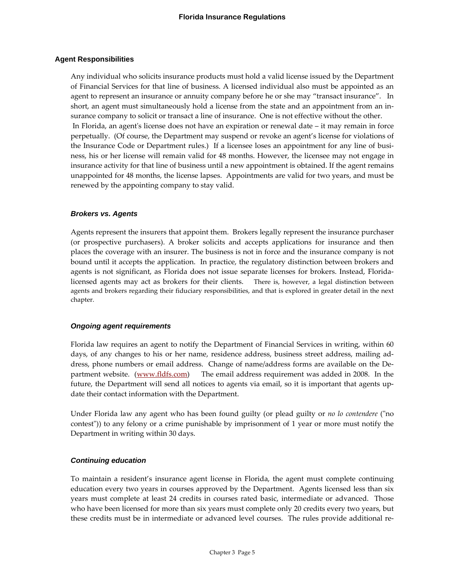### **Agent Responsibilities**

Any individual who solicits insurance products must hold a valid license issued by the Department of Financial Services for that line of business. A licensed individual also must be appointed as an agent to represent an insurance or annuity company before he or she may "transact insurance". In short, an agent must simultaneously hold a license from the state and an appointment from an insurance company to solicit or transact a line of insurance. One is not effective without the other. In Florida, an agent's license does not have an expiration or renewal date – it may remain in force perpetually. (Of course, the Department may suspend or revoke an agent's license for violations of the Insurance Code or Department rules.) If a licensee loses an appointment for any line of business, his or her license will remain valid for 48 months. However, the licensee may not engage in insurance activity for that line of business until a new appointment is obtained. If the agent remains unappointed for 48 months, the license lapses. Appointments are valid for two years, and must be renewed by the appointing company to stay valid.

### *Brokers vs. Agents*

Agents represent the insurers that appoint them. Brokers legally represent the insurance purchaser (or prospective purchasers). A broker solicits and accepts applications for insurance and then places the coverage with an insurer. The business is not in force and the insurance company is not bound until it accepts the application. In practice, the regulatory distinction between brokers and agents is not significant, as Florida does not issue separate licenses for brokers. Instead, Florida‐ licensed agents may act as brokers for their clients. There is, however, a legal distinction between agents and brokers regarding their fiduciary responsibilities, and that is explored in greater detail in the next chapter.

#### *Ongoing agent requirements*

Florida law requires an agent to notify the Department of Financial Services in writing, within 60 days, of any changes to his or her name, residence address, business street address, mailing address, phone numbers or email address. Change of name/address forms are available on the Department website. (www.fldfs.com) The email address requirement was added in 2008. In the future, the Department will send all notices to agents via email, so it is important that agents update their contact information with the Department.

Under Florida law any agent who has been found guilty (or plead guilty or *no lo contendere* (ʺno contest")) to any felony or a crime punishable by imprisonment of 1 year or more must notify the Department in writing within 30 days.

# *Continuing education*

To maintain a resident's insurance agent license in Florida, the agent must complete continuing education every two years in courses approved by the Department. Agents licensed less than six years must complete at least 24 credits in courses rated basic, intermediate or advanced. Those who have been licensed for more than six years must complete only 20 credits every two years, but these credits must be in intermediate or advanced level courses. The rules provide additional re‐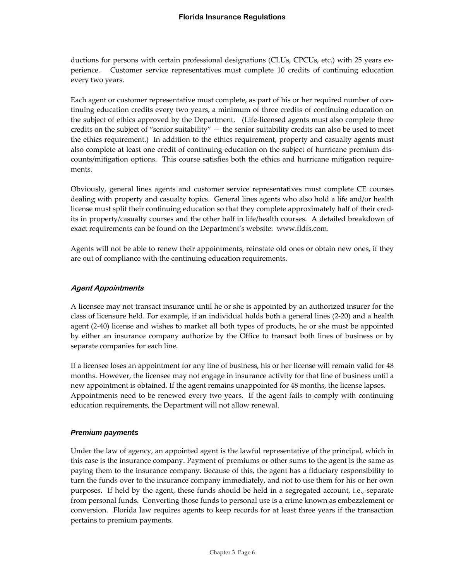ductions for persons with certain professional designations (CLUs, CPCUs, etc.) with 25 years ex‐ perience. Customer service representatives must complete 10 credits of continuing education every two years.

Each agent or customer representative must complete, as part of his or her required number of continuing education credits every two years, a minimum of three credits of continuing education on the subject of ethics approved by the Department. (Life‐licensed agents must also complete three credits on the subject of "senior suitability" — the senior suitability credits can also be used to meet the ethics requirement.) In addition to the ethics requirement, property and casualty agents must also complete at least one credit of continuing education on the subject of hurricane premium dis‐ counts/mitigation options. This course satisfies both the ethics and hurricane mitigation require‐ ments.

Obviously, general lines agents and customer service representatives must complete CE courses dealing with property and casualty topics. General lines agents who also hold a life and/or health license must split their continuing education so that they complete approximately half of their cred‐ its in property/casualty courses and the other half in life/health courses. A detailed breakdown of exact requirements can be found on the Department's website: www.fldfs.com.

Agents will not be able to renew their appointments, reinstate old ones or obtain new ones, if they are out of compliance with the continuing education requirements.

# **Agent Appointments**

A licensee may not transact insurance until he or she is appointed by an authorized insurer for the class of licensure held. For example, if an individual holds both a general lines (2‐20) and a health agent (2‐40) license and wishes to market all both types of products, he or she must be appointed by either an insurance company authorize by the Office to transact both lines of business or by separate companies for each line.

If a licensee loses an appointment for any line of business, his or her license will remain valid for 48 months. However, the licensee may not engage in insurance activity for that line of business until a new appointment is obtained. If the agent remains unappointed for 48 months, the license lapses. Appointments need to be renewed every two years. If the agent fails to comply with continuing education requirements, the Department will not allow renewal.

# *Premium payments*

Under the law of agency, an appointed agent is the lawful representative of the principal, which in this case is the insurance company. Payment of premiums or other sums to the agent is the same as paying them to the insurance company. Because of this, the agent has a fiduciary responsibility to turn the funds over to the insurance company immediately, and not to use them for his or her own purposes. If held by the agent, these funds should be held in a segregated account, i.e., separate from personal funds. Converting those funds to personal use is a crime known as embezzlement or conversion. Florida law requires agents to keep records for at least three years if the transaction pertains to premium payments.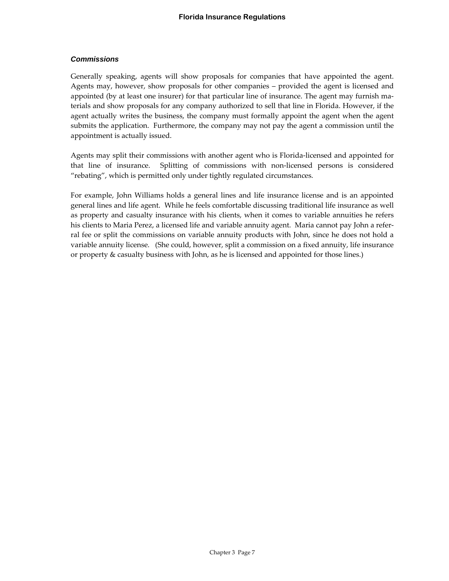# *Commissions*

Generally speaking, agents will show proposals for companies that have appointed the agent. Agents may, however, show proposals for other companies – provided the agent is licensed and appointed (by at least one insurer) for that particular line of insurance. The agent may furnish materials and show proposals for any company authorized to sell that line in Florida. However, if the agent actually writes the business, the company must formally appoint the agent when the agent submits the application. Furthermore, the company may not pay the agent a commission until the appointment is actually issued.

Agents may split their commissions with another agent who is Florida‐licensed and appointed for that line of insurance. Splitting of commissions with non-licensed persons is considered "rebating", which is permitted only under tightly regulated circumstances.

For example, John Williams holds a general lines and life insurance license and is an appointed general lines and life agent. While he feels comfortable discussing traditional life insurance as well as property and casualty insurance with his clients, when it comes to variable annuities he refers his clients to Maria Perez, a licensed life and variable annuity agent. Maria cannot pay John a referral fee or split the commissions on variable annuity products with John, since he does not hold a variable annuity license. (She could, however, split a commission on a fixed annuity, life insurance or property & casualty business with John, as he is licensed and appointed for those lines.)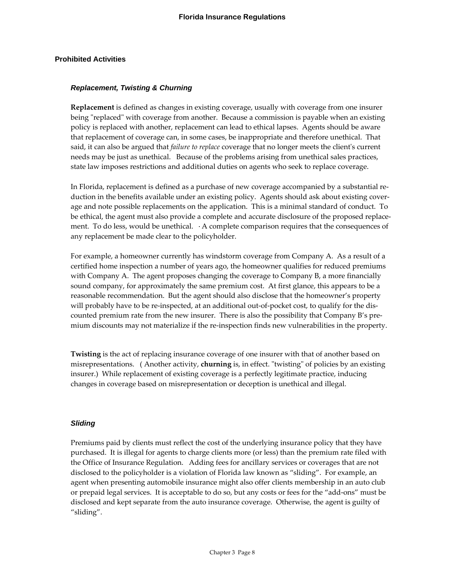### **Prohibited Activities**

#### *Replacement, Twisting & Churning*

**Replacement** is defined as changes in existing coverage, usually with coverage from one insurer being "replaced" with coverage from another. Because a commission is payable when an existing policy is replaced with another, replacement can lead to ethical lapses. Agents should be aware that replacement of coverage can, in some cases, be inappropriate and therefore unethical. That said, it can also be argued that *failure to replace* coverage that no longer meets the clientʹs current needs may be just as unethical. Because of the problems arising from unethical sales practices, state law imposes restrictions and additional duties on agents who seek to replace coverage.

In Florida, replacement is defined as a purchase of new coverage accompanied by a substantial re‐ duction in the benefits available under an existing policy. Agents should ask about existing coverage and note possible replacements on the application. This is a minimal standard of conduct. To be ethical, the agent must also provide a complete and accurate disclosure of the proposed replacement. To do less, would be unethical. A complete comparison requires that the consequences of any replacement be made clear to the policyholder.

For example, a homeowner currently has windstorm coverage from Company A. As a result of a certified home inspection a number of years ago, the homeowner qualifies for reduced premiums with Company A. The agent proposes changing the coverage to Company B, a more financially sound company, for approximately the same premium cost. At first glance, this appears to be a reasonable recommendation. But the agent should also disclose that the homeowner's property will probably have to be re-inspected, at an additional out-of-pocket cost, to qualify for the discounted premium rate from the new insurer. There is also the possibility that Company B's premium discounts may not materialize if the re-inspection finds new vulnerabilities in the property.

**Twisting** is the act of replacing insurance coverage of one insurer with that of another based on misrepresentations. (Another activity, **churning** is, in effect. "twisting" of policies by an existing insurer.) While replacement of existing coverage is a perfectly legitimate practice, inducing changes in coverage based on misrepresentation or deception is unethical and illegal.

#### *Sliding*

Premiums paid by clients must reflect the cost of the underlying insurance policy that they have purchased. It is illegal for agents to charge clients more (or less) than the premium rate filed with the Office of Insurance Regulation. Adding fees for ancillary services or coverages that are not disclosed to the policyholder is a violation of Florida law known as "sliding". For example, an agent when presenting automobile insurance might also offer clients membership in an auto club or prepaid legal services. It is acceptable to do so, but any costs or fees for the "add‐ons" must be disclosed and kept separate from the auto insurance coverage. Otherwise, the agent is guilty of "sliding".